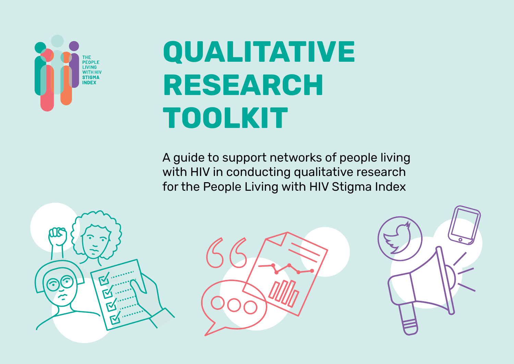

# **QUALITATIVE RESEARCH TOOLKIT**

A guide to support networks of people living with HIV in conducting qualitative research for the People Living with HIV Stigma Index

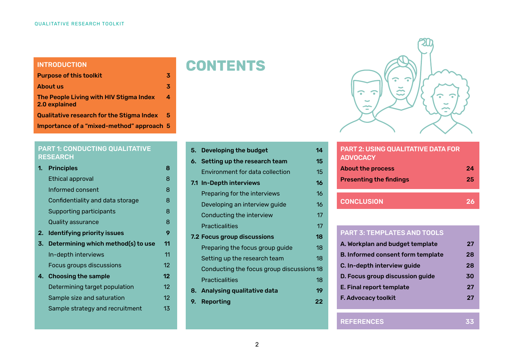#### INTRODUCTION

| <b>Purpose of this toolkit</b>                           | 3 |
|----------------------------------------------------------|---|
| About us                                                 | 3 |
| The People Living with HIV Stigma Index<br>2.0 explained | 4 |
| <b>Qualitative research for the Stigma Index</b>         | 5 |
| Importance of a "mixed-method" approach 5                |   |

#### PART 1: CONDUCTING QUALITATIVE RESEARCH

| 1. | <b>Principles</b>                  | 8                 |
|----|------------------------------------|-------------------|
|    | Ethical approval                   | 8                 |
|    | Informed consent                   | 8                 |
|    | Confidentiality and data storage   | 8                 |
|    | Supporting participants            | 8                 |
|    | Quality assurance                  | 8                 |
| 2. | <b>Identifying priority issues</b> | 9                 |
| 3. | Determining which method(s) to use | 11                |
|    | In-depth interviews                | 11                |
|    | Focus groups discussions           | $12 \overline{ }$ |
|    | 4. Choosing the sample             | $12 \overline{ }$ |
|    | Determining target population      | $12 \overline{ }$ |
|    | Sample size and saturation         | $12 \overline{ }$ |
|    | Sample strategy and recruitment    | 13                |
|    |                                    |                   |

|                                    | 14                                                                    |
|------------------------------------|-----------------------------------------------------------------------|
|                                    |                                                                       |
| 6. Setting up the research team    | 15                                                                    |
| Environment for data collection    | 15                                                                    |
| 7.1 In-Depth interviews            | 16                                                                    |
| Preparing for the interviews       | 16                                                                    |
| Developing an interview guide      | 16                                                                    |
| Conducting the interview           | 17                                                                    |
| <b>Practicalities</b>              | 17                                                                    |
| <b>7.2 Focus group discussions</b> | 18                                                                    |
| Preparing the focus group guide    | 18                                                                    |
| Setting up the research team       | 18                                                                    |
|                                    |                                                                       |
| Practicalities                     | 18                                                                    |
| Analysing qualitative data         | 19                                                                    |
| Reporting                          | 22                                                                    |
|                                    | 5. Developing the budget<br>Conducting the focus group discussions 18 |

**CONTENTS**



## PART 2: USING QUALITATIVE DATA FOR **ADVOCACY** About the process **24 Presenting the findings** 25 CONCLUSION 26

#### PART 3: TEMPLATES AND TOOLS

| A. Workplan and budget template          | 27 |
|------------------------------------------|----|
| <b>B. Informed consent form template</b> | 28 |
| C. In-depth interview guide              | 28 |
| D. Focus group discussion guide          | 30 |
| E. Final report template                 | 27 |
| F. Advocacy toolkit                      | 27 |
|                                          |    |

#### **REFERENCES**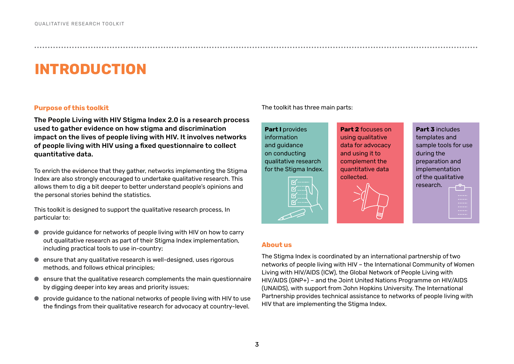# **INTRODUCTION**

#### **Purpose of this toolkit**

The People Living with HIV Stigma Index 2.0 is a research process used to gather evidence on how stigma and discrimination impact on the lives of people living with HIV. It involves networks of people living with HIV using a fixed questionnaire to collect quantitative data.

To enrich the evidence that they gather, networks implementing the Stigma Index are also strongly encouraged to undertake qualitative research. This allows them to dig a bit deeper to better understand people's opinions and the personal stories behind the statistics.

This toolkit is designed to support the qualitative research process, In particular to:

- provide guidance for networks of people living with HIV on how to carry out qualitative research as part of their Stigma Index implementation, including practical tools to use in-country;
- ensure that any qualitative research is well-designed, uses rigorous methods, and follows ethical principles;
- ensure that the qualitative research complements the main questionnaire by digging deeper into key areas and priority issues;
- provide guidance to the national networks of people living with HIV to use the findings from their qualitative research for advocacy at country-level.

#### The toolkit has three main parts:

**Part I** provides information and guidance on conducting qualitative research for the Stigma Index.

using qualitative data for advocacy and using it to complement the quantitative data collected.

**Part 2** focuses on



**Part 3** includes templates and sample tools for use during the preparation and implementation of the qualitative research.

#### **About us**

The Stigma Index is coordinated by an international partnership of two networks of people living with HIV – the International Community of Women Living with HIV/AIDS (ICW), the Global Network of People Living with HIV/AIDS (GNP+) – and the Joint United Nations Programme on HIV/AIDS (UNAIDS), with support from John Hopkins University. The International Partnership provides technical assistance to networks of people living with HIV that are implementing the Stigma Index.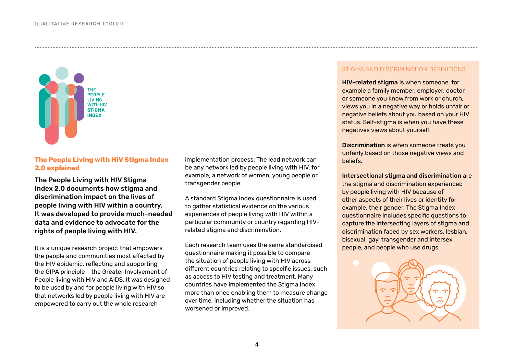

#### **The People Living with HIV Stigma Index 2.0 explained**

The People Living with HIV Stigma Index 2.0 documents how stigma and discrimination impact on the lives of people living with HIV within a country. It was developed to provide much-needed data and evidence to advocate for the rights of people living with HIV.

It is a unique research project that empowers the people and communities most affected by the HIV epidemic, reflecting and supporting the GIPA principle – the Greater Involvement of People living with HIV and AIDS. It was designed to be used by and for people living with HIV so that networks led by people living with HIV are empowered to carry out the whole research

implementation process. The lead network can be any network led by people living with HIV, for example, a network of women, young people or transgender people.

A standard Stigma Index questionnaire is used to gather statistical evidence on the various experiences of people living with HIV within a particular community or country regarding HIVrelated stigma and discrimination.

Each research team uses the same standardised questionnaire making it possible to compare the situation of people living with HIV across different countries relating to specific issues, such as access to HIV testing and treatment. Many countries have implemented the Stigma Index more than once enabling them to measure change over time, including whether the situation has worsened or improved.

#### STIGMA AND DISCRIMINATION DEFINITIONS

HIV-related stigma is when someone, for example a family member, employer, doctor, or someone you know from work or church, views you in a negative way or holds unfair or negative beliefs about you based on your HIV status. Self-stigma is when you have these negatives views about yourself.

Discrimination is when someone treats you unfairly based on those negative views and beliefs.

Intersectional stigma and discrimination are the stigma and discrimination experienced by people living with HIV because of other aspects of their lives or identity for example, their gender. The Stigma Index questionnaire includes specific questions to capture the intersecting layers of stigma and discrimination faced by sex workers, lesbian, bisexual, gay, transgender and intersex people, and people who use drugs.

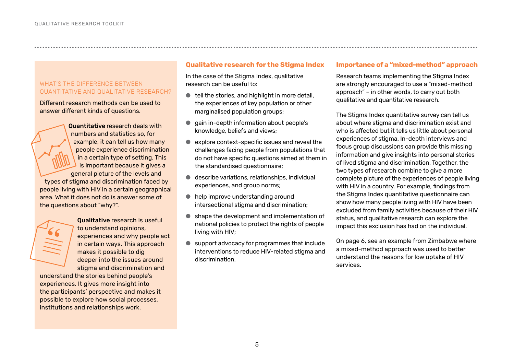#### WHAT'S THE DIFFERENCE BETWEEN QUANTITATIVE AND QUALITATIVE RESEARCH?

Different research methods can be used to answer different kinds of questions.

Quantitative research deals with numbers and statistics so, for example, it can tell us how many people experience discrimination in a certain type of setting. This is important because it gives a general picture of the levels and types of stigma and discrimination faced by people living with HIV in a certain geographical area. What it does not do is answer some of the questions about "why?".

Qualitative research is useful to understand opinions, experiences and why people act in certain ways. This approach makes it possible to dig deeper into the issues around stigma and discrimination and

understand the stories behind people's experiences. It gives more insight into the participants' perspective and makes it possible to explore how social processes, institutions and relationships work.

#### **Qualitative research for the Stigma Index**

In the case of the Stigma Index, qualitative research can be useful to:

- $\bullet$  tell the stories, and highlight in more detail, the experiences of key population or other marginalised population groups;
- qain in-depth information about people's knowledge, beliefs and views;
- explore context-specific issues and reveal the challenges facing people from populations that do not have specific questions aimed at them in the standardised questionnaire;
- describe variations, relationships, individual experiences, and group norms;
- help improve understanding around intersectional stigma and discrimination;
- shape the development and implementation of national policies to protect the rights of people living with HIV;
- support advocacy for programmes that include interventions to reduce HIV-related stigma and discrimination.

#### **Importance of a "mixed-method" approach**

Research teams implementing the Stigma Index are strongly encouraged to use a "mixed-method approach" – in other words, to carry out both qualitative and quantitative research.

The Stigma Index quantitative survey can tell us about where stigma and discrimination exist and who is affected but it tells us little about personal experiences of stigma. In-depth interviews and focus group discussions can provide this missing information and give insights into personal stories of lived stigma and discrimination. Together, the two types of research combine to give a more complete picture of the experiences of people living with HIV in a country. For example, findings from the Stigma Index quantitative questionnaire can show how many people living with HIV have been excluded from family activities because of their HIV status, and qualitative research can explore the impact this exclusion has had on the individual.

On page 6, see an example from Zimbabwe where a mixed-method approach was used to better understand the reasons for low uptake of HIV services.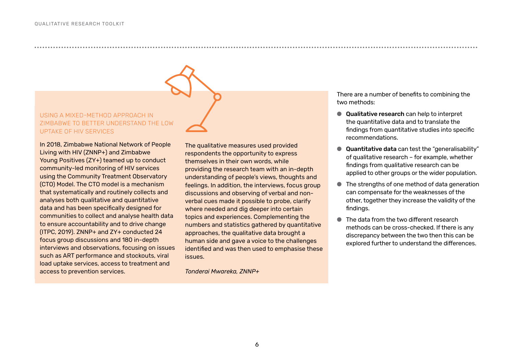#### USING A MIXED-METHOD APPROACH IN ZIMBABWE TO BETTER UNDERSTAND THE LOW UPTAKE OF HIV SERVICES

In 2018, Zimbabwe National Network of People Living with HIV (ZNNP+) and Zimbabwe Young Positives (ZY+) teamed up to conduct community-led monitoring of HIV services using the Community Treatment Observatory (CTO) Model. The CTO model is a mechanism that systematically and routinely collects and analyses both qualitative and quantitative data and has been specifically designed for communities to collect and analyse health data to ensure accountability and to drive change (ITPC, 2019). ZNNP+ and ZY+ conducted 24 focus group discussions and 180 in-depth interviews and observations, focusing on issues such as ART performance and stockouts, viral load uptake services, access to treatment and access to prevention services.

The qualitative measures used provided respondents the opportunity to express themselves in their own words, while providing the research team with an in-depth understanding of people's views, thoughts and feelings. In addition, the interviews, focus group discussions and observing of verbal and nonverbal cues made it possible to probe, clarify where needed and dig deeper into certain topics and experiences. Complementing the numbers and statistics gathered by quantitative approaches, the qualitative data brought a human side and gave a voice to the challenges identified and was then used to emphasise these issues.

*Tonderai Mwareka, ZNNP+*

There are a number of benefits to combining the two methods:

- Qualitative research can help to interpret the quantitative data and to translate the findings from quantitative studies into specific recommendations.
- Quantitative data can test the "generalisability" of qualitative research – for example, whether findings from qualitative research can be applied to other groups or the wider population.
- The strengths of one method of data generation can compensate for the weaknesses of the other, together they increase the validity of the findings.
- The data from the two different research methods can be cross-checked. If there is any discrepancy between the two then this can be explored further to understand the differences.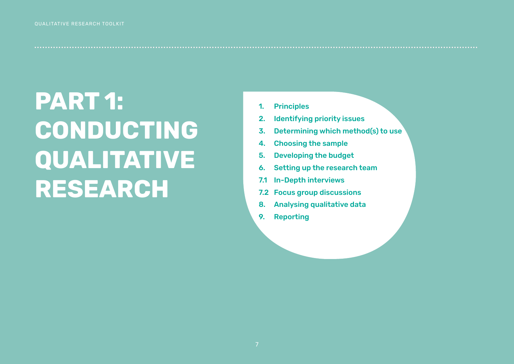# <span id="page-6-0"></span>**PART 1: CONDUCTING QUALITATIVE RESEARCH**

1. Principles

- 2. Identifying priority issues
- 3. Determining which method(s) to use
- 4. Choosing the sample
- 5. Developing the budget
- 6. Setting up the research team
- 7.1 In-Depth interviews
- 7.2 Focus group discussions
- 8. Analysing qualitative data
- 9. Reporting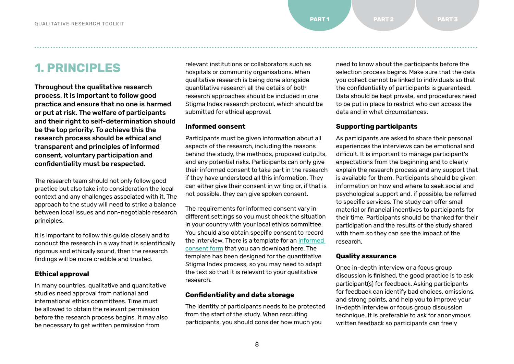**1. PRINCIPLES**

Throughout the qualitative research process, it is important to follow good practice and ensure that no one is harmed or put at risk. The welfare of participants and their right to self-determination should be the top priority. To achieve this the research process should be ethical and transparent and principles of informed consent, voluntary participation and confidentiality must be respected.

The research team should not only follow good practice but also take into consideration the local context and any challenges associated with it. The approach to the study will need to strike a balance between local issues and non-negotiable research principles.

It is important to follow this guide closely and to conduct the research in a way that is scientifically rigorous and ethically sound, then the research findings will be more credible and trusted.

#### **Ethical approval**

In many countries, qualitative and quantitative studies need approval from national and international ethics committees. Time must be allowed to obtain the relevant permission before the research process begins. It may also be necessary to get written permission from

relevant institutions or collaborators such as hospitals or community organisations. When qualitative research is being done alongside quantitative research all the details of both research approaches should be included in one Stigma Index research protocol, which should be submitted for ethical approval.

● ● ● ● ● ● ● ● ● ● ● ● ● ● ● ● ● ● ● ● ● ● ● ● ● ● ● ● ● ● ● ● ● ● ● ● ● ● ● ● ● ● ● ● ● ● ● ● ● ● ● ● ● ● ● ● ● ● ● ● ● ● ● ● ● ● ● ● ● ● ● ● ● ● ● ● ● ● ● ● ● ● ● ● ● ● ● ● ● ● ● ● ● ● ● ● ● ● ● ● ● ● ● ● ● ● ● ● ● ● ● ● ● ● ● ● ● ● ● ● ● ● ● ● ● ● ● ● ● ● ● ● ● ● ● ● ● ● ● ● ● ● ● ● ● ● ● ● ● ● ● ● ● ● ● ● ● ● ● ● ● ● ● ● ●

#### **Informed consent**

Participants must be given information about all aspects of the research, including the reasons behind the study, the methods, proposed outputs, and any potential risks. Participants can only give their informed consent to take part in the research if they have understood all this information. They can either give their consent in writing or, if that is not possible, they can give spoken consent.

The requirements for informed consent vary in different settings so you must check the situation in your country with your local ethics committee. You should also obtain specific consent to record the interview. There is a template for an [informed](https://www.dropbox.com/s/hcxho2ug6gl6oo3/Template%20Informed%20Consent%20Form_EN.docx?dl=0)  [consent form](https://www.dropbox.com/s/hcxho2ug6gl6oo3/Template%20Informed%20Consent%20Form_EN.docx?dl=0) that you can download here. The template has been designed for the quantitative Stigma Index process, so you may need to adapt the text so that it is relevant to your qualitative research.

#### **Confidentiality and data storage**

The identity of participants needs to be protected from the start of the study. When recruiting participants, you should consider how much you

need to know about the participants before the selection process begins. Make sure that the data you collect cannot be linked to individuals so that the confidentiality of participants is guaranteed. Data should be kept private, and procedures need to be put in place to restrict who can access the data and in what circumstances.

#### **Supporting participants**

As participants are asked to share their personal experiences the interviews can be emotional and difficult. It is important to manage participant's expectations from the beginning and to clearly explain the research process and any support that is available for them. Participants should be given information on how and where to seek social and psychological support and, if possible, be referred to specific services. The study can offer small material or financial incentives to participants for their time. Participants should be thanked for their participation and the results of the study shared with them so they can see the impact of the research.

#### **Quality assurance**

Once in-depth interview or a focus group discussion is finished, the good practice is to ask participant(s) for feedback. Asking participants for feedback can identify bad choices, omissions, and strong points, and help you to improve your in-depth interview or focus group discussion technique. It is preferable to ask for anonymous written feedback so participants can freely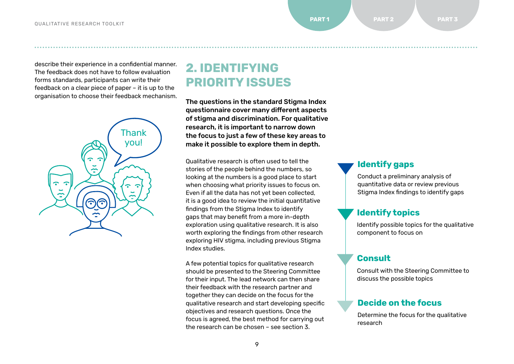describe their experience in a confidential manner. The feedback does not have to follow evaluation forms standards, participants can write their feedback on a clear piece of paper – it is up to the organisation to choose their feedback mechanism.



# **2. IDENTIFYING PRIORITY ISSUES**

The questions in the standard Stigma Index questionnaire cover many different aspects of stigma and discrimination. For qualitative research, it is important to narrow down the focus to just a few of these key areas to make it possible to explore them in depth.

● ● ● ● ● ● ● ● ● ● ● ● ● ● ● ● ● ● ● ● ● ● ● ● ● ● ● ● ● ● ● ● ● ● ● ● ● ● ● ● ● ● ● ● ● ● ● ● ● ● ● ● ● ● ● ● ● ● ● ● ● ● ● ● ● ● ● ● ● ● ● ● ● ● ● ● ● ● ● ● ● ● ● ● ● ● ● ● ● ● ● ● ● ● ● ● ● ● ● ● ● ● ● ● ● ● ● ● ● ● ● ● ● ● ● ● ● ● ● ● ● ● ● ● ● ● ● ● ● ● ● ● ● ● ● ● ● ● ● ● ● ● ● ● ● ● ● ● ● ● ● ● ● ● ● ● ● ● ● ● ● ● ● ● ●

Qualitative research is often used to tell the stories of the people behind the numbers, so looking at the numbers is a good place to start when choosing what priority issues to focus on. Even if all the data has not yet been collected, it is a good idea to review the initial quantitative findings from the Stigma Index to identify gaps that may benefit from a more in-depth exploration using qualitative research. It is also worth exploring the findings from other research exploring HIV stigma, including previous Stigma Index studies.

A few potential topics for qualitative research should be presented to the Steering Committee for their input. The lead network can then share their feedback with the research partner and together they can decide on the focus for the qualitative research and start developing specific objectives and research questions. Once the focus is agreed, the best method for carrying out the research can be chosen – see section 3.

#### **Identify gaps**

Conduct a preliminary analysis of quantitative data or review previous Stigma Index findings to identify gaps

#### **Identify topics**

Identify possible topics for the qualitative component to focus on

#### **Consult**

Consult with the Steering Committee to discuss the possible topics

#### **Decide on the focus**

Determine the focus for the qualitative research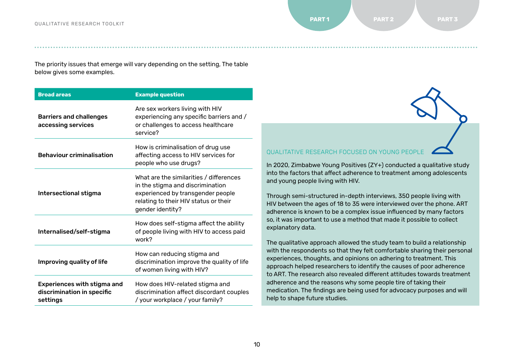The priority issues that emerge will vary depending on the setting, The table below gives some examples.

| <b>Broad areas</b>                                                           | <b>Example question</b>                                                                                                                                                       |
|------------------------------------------------------------------------------|-------------------------------------------------------------------------------------------------------------------------------------------------------------------------------|
| <b>Barriers and challenges</b><br>accessing services                         | Are sex workers living with HIV<br>experiencing any specific barriers and /<br>or challenges to access healthcare<br>service?                                                 |
| <b>Behaviour criminalisation</b>                                             | How is criminalisation of drug use<br>affecting access to HIV services for<br>people who use drugs?                                                                           |
| Intersectional stigma                                                        | What are the similarities / differences<br>in the stigma and discrimination<br>experienced by transgender people<br>relating to their HIV status or their<br>gender identity? |
| Internalised/self-stigma                                                     | How does self-stigma affect the ability<br>of people living with HIV to access paid<br>work?                                                                                  |
| Improving quality of life                                                    | How can reducing stigma and<br>discrimination improve the quality of life<br>of women living with HIV?                                                                        |
| <b>Experiences with stigma and</b><br>discrimination in specific<br>settings | How does HIV-related stigma and<br>discrimination affect discordant couples<br>/ your workplace / your family?                                                                |

QUALITATIVE RESEARCH FOCUSED ON YOUNG PEOPLE

In 2020, Zimbabwe Young Positives (ZY+) conducted a qualitative study into the factors that affect adherence to treatment among adolescents and young people living with HIV.

Through semi-structured in-depth interviews, 350 people living with HIV between the ages of 18 to 35 were interviewed over the phone. ART adherence is known to be a complex issue influenced by many factors so, it was important to use a method that made it possible to collect explanatory data.

The qualitative approach allowed the study team to build a relationship with the respondents so that they felt comfortable sharing their personal experiences, thoughts, and opinions on adhering to treatment. This approach helped researchers to identify the causes of poor adherence to ART. The research also revealed different attitudes towards treatment adherence and the reasons why some people tire of taking their medication. The findings are being used for advocacy purposes and will help to shape future studies.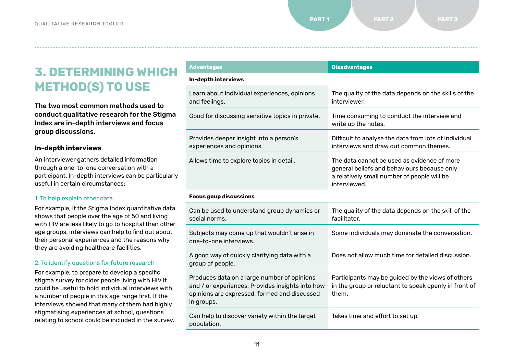# **3. DETERMINING WHICH METHOD(S) TO USE**

The two most common methods used to conduct qualitative research for the Stigma Index are in-depth interviews and focus group discussions.

#### **In-depth interviews**

An interviewer gathers detailed information through a one-to-one conversation with a participant. In-depth interviews can be particularly useful in certain circumstances:

#### 1. To help explain other data

For example, if the Stigma Index quantitative data shows that people over the age of 50 and living with HIV are less likely to go to hospital than other age groups, interviews can help to find out about their personal experiences and the reasons why they are avoiding healthcare facilities.

#### 2. To identify questions for future research

For example, to prepare to develop a specific stigma survey for older people living with HIV it could be useful to hold individual interviews with a number of people in this age range first. If the interviews showed that many of them had highly stigmatising experiences at school, questions relating to school could be included in the survey.

| <b>Advantages</b>                                                                                                                                             | <b>Disadvantages</b>                                                                                                                                      |
|---------------------------------------------------------------------------------------------------------------------------------------------------------------|-----------------------------------------------------------------------------------------------------------------------------------------------------------|
| In-depth interviews                                                                                                                                           |                                                                                                                                                           |
| Learn about individual experiences, opinions<br>and feelings.                                                                                                 | The quality of the data depends on the skills of the<br>interviewer.                                                                                      |
| Good for discussing sensitive topics in private.                                                                                                              | Time consuming to conduct the interview and<br>write up the notes.                                                                                        |
| Provides deeper insight into a person's<br>experiences and opinions.                                                                                          | Difficult to analyse the data from lots of individual<br>interviews and draw out common themes.                                                           |
| Allows time to explore topics in detail.                                                                                                                      | The data cannot be used as evidence of more<br>general beliefs and behaviours because only<br>a relatively small number of people will be<br>interviewed. |
| <b>Focus goup discussions</b>                                                                                                                                 |                                                                                                                                                           |
| Can be used to understand group dynamics or<br>social norms.                                                                                                  | The quality of the data depends on the skill of the<br>facilitator.                                                                                       |
| Subjects may come up that wouldn't arise in<br>one-to-one interviews.                                                                                         | Some individuals may dominate the conversation.                                                                                                           |
| A good way of quickly clarifying data with a<br>group of people.                                                                                              | Does not allow much time for detailed discussion.                                                                                                         |
| Produces data on a large number of opinions<br>and / or experiences. Provides insights into how<br>opinions are expressed, formed and discussed<br>in groups. | Participants may be guided by the views of others<br>in the group or reluctant to speak openly in front of<br>them.                                       |
| Can help to discover variety within the target<br>population.                                                                                                 | Takes time and effort to set up.                                                                                                                          |
|                                                                                                                                                               |                                                                                                                                                           |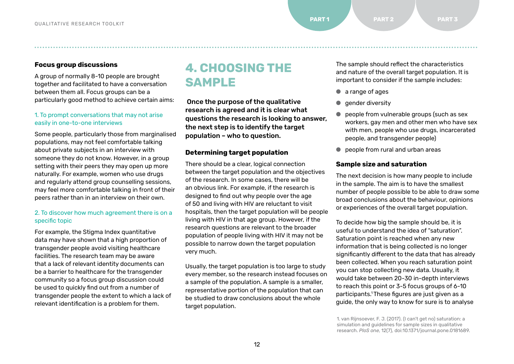#### **Focus group discussions**

A group of normally 8-10 people are brought together and facilitated to have a conversation between them all. Focus groups can be a particularly good method to achieve certain aims:

#### 1. To prompt conversations that may not arise easily in one-to-one interviews

Some people, particularly those from marginalised populations, may not feel comfortable talking about private subjects in an interview with someone they do not know. However, in a group setting with their peers they may open up more naturally. For example, women who use drugs and regularly attend group counselling sessions, may feel more comfortable talking in front of their peers rather than in an interview on their own.

#### 2. To discover how much agreement there is on a specific topic

For example, the Stigma Index quantitative data may have shown that a high proportion of transgender people avoid visiting healthcare facilities. The research team may be aware that a lack of relevant identity documents can be a barrier to healthcare for the transgender community so a focus group discussion could be used to quickly find out from a number of transgender people the extent to which a lack of relevant identification is a problem for them.

# **4. CHOOSING THE SAMPLE**

 Once the purpose of the qualitative research is agreed and it is clear what questions the research is looking to answer, the next step is to identify the target population – who to question.

● ● ● ● ● ● ● ● ● ● ● ● ● ● ● ● ● ● ● ● ● ● ● ● ● ● ● ● ● ● ● ● ● ● ● ● ● ● ● ● ● ● ● ● ● ● ● ● ● ● ● ● ● ● ● ● ● ● ● ● ● ● ● ● ● ● ● ● ● ● ● ● ● ● ● ● ● ● ● ● ● ● ● ● ● ● ● ● ● ● ● ● ● ● ● ● ● ● ● ● ● ● ● ● ● ● ● ● ● ● ● ● ● ● ● ● ● ● ● ● ● ● ● ● ● ● ● ● ● ● ● ● ● ● ● ● ● ● ● ● ● ● ● ● ● ● ● ● ● ● ● ● ● ● ● ● ● ● ● ● ● ● ● ● ●

#### **Determining target population**

There should be a clear, logical connection between the target population and the objectives of the research. In some cases, there will be an obvious link. For example, if the research is designed to find out why people over the age of 50 and living with HIV are reluctant to visit hospitals, then the target population will be people living with HIV in that age group. However, if the research questions are relevant to the broader population of people living with HIV it may not be possible to narrow down the target population very much.

Usually, the target population is too large to study every member, so the research instead focuses on a sample of the population. A sample is a smaller, representative portion of the population that can be studied to draw conclusions about the whole target population.

The sample should reflect the characteristics and nature of the overall target population. It is important to consider if the sample includes:

- a range of ages
- aender diversity
- people from vulnerable groups (such as sex workers, gay men and other men who have sex with men, people who use drugs, incarcerated people, and transgender people)
- people from rural and urban areas

#### **Sample size and saturation**

The next decision is how many people to include in the sample. The aim is to have the smallest number of people possible to be able to draw some broad conclusions about the behaviour, opinions or experiences of the overall target population.

To decide how big the sample should be, it is useful to understand the idea of "saturation". Saturation point is reached when any new information that is being collected is no longer significantly different to the data that has already been collected. When you reach saturation point you can stop collecting new data. Usually, it would take between 20-30 in-depth interviews to reach this point or 3-5 focus groups of 6-10 participants.<sup>1</sup>These figures are just given as a guide, the only way to know for sure is to analyse

1. van Rijnsoever, F. J. (2017). (I can't get no) saturation: a simulation and guidelines for sample sizes in qualitative research. *PloS one*, 12(7), doi:10.1371/journal.pone.0181689.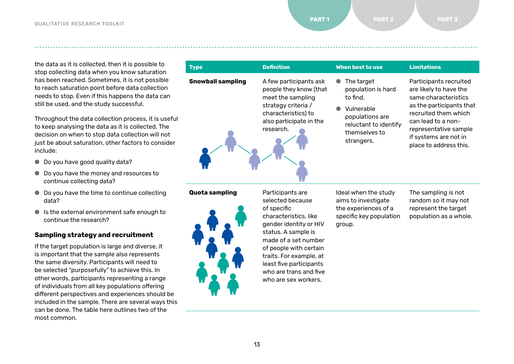the data as it is collected, then it is possible to stop collecting data when you know saturation has been reached. Sometimes, it is not possible to reach saturation point before data collection needs to stop. Even if this happens the data can still be used, and the study successful.

Throughout the data collection process, it is useful to keep analysing the data as it is collected. The decision on when to stop data collection will not just be about saturation, other factors to consider include:

- Do you have good quality data?
- Do you have the money and resources to continue collecting data?
- Do you have the time to continue collecting data?
- Is the external environment safe enough to continue the research?

#### **Sampling strategy and recruitment**

If the target population is large and diverse, it is important that the sample also represents the same diversity. Participants will need to be selected "purposefully" to achieve this. In other words, participants representing a range of individuals from all key populations offering different perspectives and experiences should be included in the sample. There are several ways this can be done. The table here outlines two of the most common.

| <b>Type</b>              | <b>Definition</b>                                                                                                                                           | When best to use                                                                                                                      | <b>Limitations</b>                                                                                                                                                                                                             |
|--------------------------|-------------------------------------------------------------------------------------------------------------------------------------------------------------|---------------------------------------------------------------------------------------------------------------------------------------|--------------------------------------------------------------------------------------------------------------------------------------------------------------------------------------------------------------------------------|
| <b>Snowball sampling</b> | A few participants ask<br>people they know (that<br>meet the sampling<br>strategy criteria /<br>characteristics) to<br>also participate in the<br>research. | The target<br>population is hard<br>to find.<br>Vulnerable<br>populations are<br>reluctant to identify<br>themselves to<br>strangers. | Participants recruited<br>are likely to have the<br>same characteristics<br>as the participants that<br>recruited them which<br>can lead to a non-<br>representative sample<br>if systems are not in<br>place to address this. |

**Quota sampling** Participants are



selected because of specific characteristics, like gender identity or HIV status. A sample is made of a set number of people with certain traits. For example, at least five participants who are trans and five who are sex workers.

Ideal when the study aims to investigate the experiences of a specific key population group.

The sampling is not random so it may not represent the target population as a whole.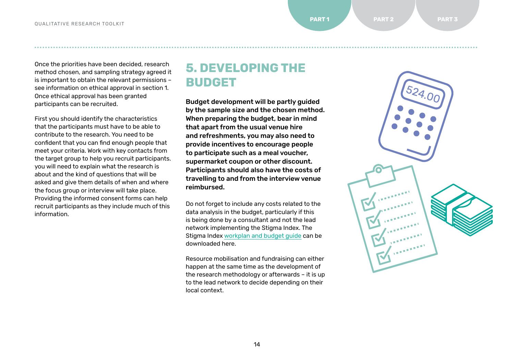Once the priorities have been decided, research method chosen, and sampling strategy agreed it is important to obtain the relevant permissions – see information on ethical approval in section 1. Once ethical approval has been granted participants can be recruited.

First you should identify the characteristics that the participants must have to be able to contribute to the research. You need to be confident that you can find enough people that meet your criteria. Work with key contacts from the target group to help you recruit participants. you will need to explain what the research is about and the kind of questions that will be asked and give them details of when and where the focus group or interview will take place. Providing the informed consent forms can help recruit participants as they include much of this information.

# **5. DEVELOPING THE BUDGET**

● ● ● ● ● ● ● ● ● ● ● ● ● ● ● ● ● ● ● ● ● ● ● ● ● ● ● ● ● ● ● ● ● ● ● ● ● ● ● ● ● ● ● ● ● ● ● ● ● ● ● ● ● ● ● ● ● ● ● ● ● ● ● ● ● ● ● ● ● ● ● ● ● ● ● ● ● ● ● ● ● ● ● ● ● ● ● ● ● ● ● ● ● ● ● ● ● ● ● ● ● ● ● ● ● ● ● ● ● ● ● ● ● ● ● ● ● ● ● ● ● ● ● ● ● ● ● ● ● ● ● ● ● ● ● ● ● ● ● ● ● ● ● ● ● ● ● ● ● ● ● ● ● ● ● ● ● ● ● ● ● ● ● ● ●

Budget development will be partly guided by the sample size and the chosen method. When preparing the budget, bear in mind that apart from the usual venue hire and refreshments, you may also need to provide incentives to encourage people to participate such as a meal voucher, supermarket coupon or other discount. Participants should also have the costs of travelling to and from the interview venue reimbursed.

Do not forget to include any costs related to the data analysis in the budget, particularly if this is being done by a consultant and not the lead network implementing the Stigma Index. The [Stigma Index workplan and budget guide](https://www.dropbox.com/s/tqo3alttdtodo6f/Workplan%20and%20Budget%20Guide_EN.xlsx?dl=0) can be downloaded here.

Resource mobilisation and fundraising can either happen at the same time as the development of the research methodology or afterwards – it is up to the lead network to decide depending on their local context.

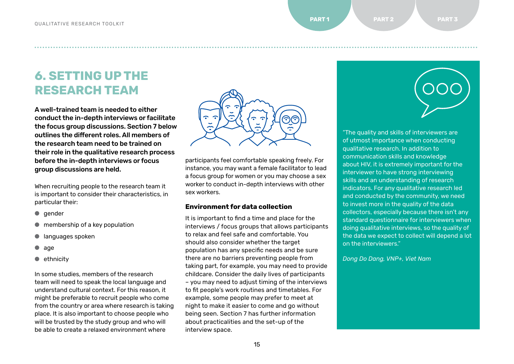**6. SETTING UP THE RESEARCH TEAM**

A well-trained team is needed to either conduct the in-depth interviews or facilitate the focus group discussions. Section 7 below outlines the different roles. All members of the research team need to be trained on their role in the qualitative research process before the in-depth interviews or focus group discussions are held.

When recruiting people to the research team it is important to consider their characteristics, in particular their:

- gender
- $\bullet$  membership of a key population
- languages spoken
- age
- ethnicity

In some studies, members of the research team will need to speak the local language and understand cultural context. For this reason, it might be preferable to recruit people who come from the country or area where research is taking place. It is also important to choose people who will be trusted by the study group and who will be able to create a relaxed environment where



● ● ● ● ● ● ● ● ● ● ● ● ● ● ● ● ● ● ● ● ● ● ● ● ● ● ● ● ● ● ● ● ● ● ● ● ● ● ● ● ● ● ● ● ● ● ● ● ● ● ● ● ● ● ● ● ● ● ● ● ● ● ● ● ● ● ● ● ● ● ● ● ● ● ● ● ● ● ● ● ● ● ● ● ● ● ● ● ● ● ● ● ● ● ● ● ● ● ● ● ● ● ● ● ● ● ● ● ● ● ● ● ● ● ● ● ● ● ● ● ● ● ● ● ● ● ● ● ● ● ● ● ● ● ● ● ● ● ● ● ● ● ● ● ● ● ● ● ● ● ● ● ● ● ● ● ● ● ● ● ● ● ● ● ●

participants feel comfortable speaking freely. For instance, you may want a female facilitator to lead a focus group for women or you may choose a sex worker to conduct in-depth interviews with other sex workers.

#### **Environment for data collection**

It is important to find a time and place for the interviews / focus groups that allows participants to relax and feel safe and comfortable. You should also consider whether the target population has any specific needs and be sure there are no barriers preventing people from taking part, for example, you may need to provide childcare. Consider the daily lives of participants – you may need to adjust timing of the interviews to fit people's work routines and timetables. For example, some people may prefer to meet at night to make it easier to come and go without being seen. Section 7 has further information about practicalities and the set-up of the interview space.



"The quality and skills of interviewers are of utmost importance when conducting qualitative research. In addition to communication skills and knowledge about HIV, it is extremely important for the interviewer to have strong interviewing skills and an understanding of research indicators. For any qualitative research led and conducted by the community, we need to invest more in the quality of the data collectors, especially because there isn't any standard questionnaire for interviewers when doing qualitative interviews, so the quality of the data we expect to collect will depend a lot on the interviewers."

*Dong Do Dang, VNP+, Viet Nam*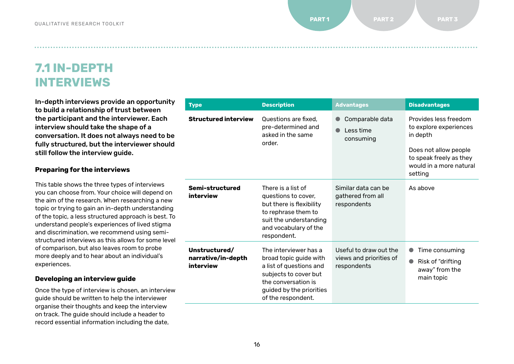**7.1 IN-DEPTH INTERVIEWS**

In-depth interviews provide an opportunity to build a relationship of trust between the participant and the interviewer. Each interview should take the shape of a conversation. It does not always need to be fully structured, but the interviewer should still follow the interview guide.

| <b>Preparing for the interviews</b>                                                                            |
|----------------------------------------------------------------------------------------------------------------|
| This table shows the three types of interviews                                                                 |
| and a decision of the contractor and a benefit of the contractor of the contractor of the contractor of the co |

you can choose from. Your choice will depend on the aim of the research. When researching a new topic or trying to gain an in-depth understanding of the topic, a less structured approach is best. To understand people's experiences of lived stigma and discrimination, we recommend using semistructured interviews as this allows for some level of comparison, but also leaves room to probe more deeply and to hear about an individual's experiences.

#### **Developing an interview guide**

Once the type of interview is chosen, an interview guide should be written to help the interviewer organise their thoughts and keep the interview on track. The guide should include a header to record essential information including the date,

| <b>Type</b>                                      | <b>Description</b>                                                                                                                                                           | <b>Advantages</b>                                                | <b>Disadvantages</b>                                                                                                                                  |
|--------------------------------------------------|------------------------------------------------------------------------------------------------------------------------------------------------------------------------------|------------------------------------------------------------------|-------------------------------------------------------------------------------------------------------------------------------------------------------|
| <b>Structured interview</b>                      | Questions are fixed.<br>pre-determined and<br>asked in the same<br>order.                                                                                                    | Comparable data<br>Less time<br>consuming                        | Provides less freedom<br>to explore experiences<br>in depth<br>Does not allow people<br>to speak freely as they<br>would in a more natural<br>setting |
| Semi-structured<br>interview                     | There is a list of<br>questions to cover,<br>but there is flexibility<br>to rephrase them to<br>suit the understanding<br>and vocabulary of the<br>respondent.               | Similar data can be<br>gathered from all<br>respondents          | As above                                                                                                                                              |
| Unstructured/<br>narrative/in-depth<br>interview | The interviewer has a<br>broad topic guide with<br>a list of questions and<br>subjects to cover but<br>the conversation is<br>guided by the priorities<br>of the respondent. | Useful to draw out the<br>views and priorities of<br>respondents | Time consuming<br>Risk of "drifting<br>away" from the<br>main topic                                                                                   |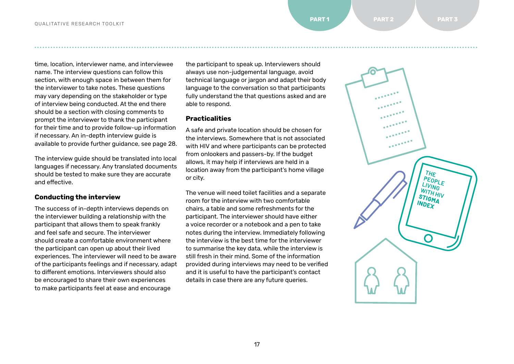time, location, interviewer name, and interviewee name. The interview questions can follow this section, with enough space in between them for the interviewer to take notes. These questions may vary depending on the stakeholder or type of interview being conducted. At the end there should be a section with closing comments to prompt the interviewer to thank the participant for their time and to provide follow-up information if necessary. An in-depth [interview](#page-27-0) guide is available to provide further guidance, see page 28.

The interview guide should be translated into local languages if necessary. Any translated documents should be tested to make sure they are accurate and effective.

#### **Conducting the interview**

The success of in-depth interviews depends on the interviewer building a relationship with the participant that allows them to speak frankly and feel safe and secure. The interviewer should create a comfortable environment where the participant can open up about their lived experiences. The interviewer will need to be aware of the participants feelings and if necessary, adapt to different emotions. Interviewers should also be encouraged to share their own experiences to make participants feel at ease and encourage

the participant to speak up. Interviewers should always use non-judgemental language, avoid technical language or jargon and adapt their body language to the conversation so that participants fully understand the that questions asked and are able to respond.

● ● ● ● ● ● ● ● ● ● ● ● ● ● ● ● ● ● ● ● ● ● ● ● ● ● ● ● ● ● ● ● ● ● ● ● ● ● ● ● ● ● ● ● ● ● ● ● ● ● ● ● ● ● ● ● ● ● ● ● ● ● ● ● ● ● ● ● ● ● ● ● ● ● ● ● ● ● ● ● ● ● ● ● ● ● ● ● ● ● ● ● ● ● ● ● ● ● ● ● ● ● ● ● ● ● ● ● ● ● ● ● ● ● ● ● ● ● ● ● ● ● ● ● ● ● ● ● ● ● ● ● ● ● ● ● ● ● ● ● ● ● ● ● ● ● ● ● ● ● ● ● ● ● ● ● ● ● ● ● ● ● ● ● ●

#### **Practicalities**

A safe and private location should be chosen for the interviews. Somewhere that is not associated with HIV and where participants can be protected from onlookers and passers-by. If the budget allows, it may help if interviews are held in a location away from the participant's home village or city.

The venue will need toilet facilities and a separate room for the interview with two comfortable chairs, a table and some refreshments for the participant. The interviewer should have either a voice recorder or a notebook and a pen to take notes during the interview. Immediately following the interview is the best time for the interviewer to summarise the key data, while the interview is still fresh in their mind. Some of the information provided during interviews may need to be verified and it is useful to have the participant's contact details in case there are any future queries.

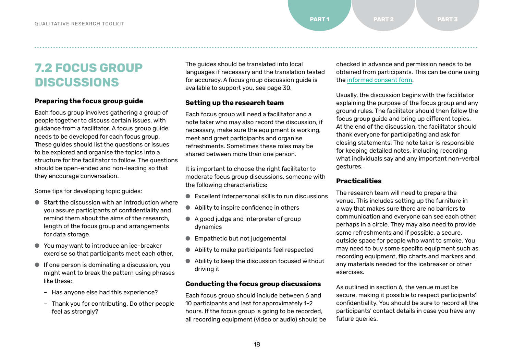# **7.2 FOCUS GROUP DISCUSSIONS**

#### **Preparing the focus group guide**

Each focus group involves gathering a group of people together to discuss certain issues, with guidance from a facilitator. A focus group guide needs to be developed for each focus group. These guides should list the questions or issues to be explored and organise the topics into a structure for the facilitator to follow. The questions should be open-ended and non-leading so that they encourage conversation.

Some tips for developing topic guides:

- Start the discussion with an introduction where you assure participants of confidentiality and remind them about the aims of the research, length of the focus group and arrangements for data storage.
- You may want to introduce an ice-breaker exercise so that participants meet each other.
- If one person is dominating a discussion, you might want to break the pattern using phrases like these:
	- Has anyone else had this experience?
	- Thank you for contributing. Do other people feel as strongly?

The guides should be translated into local languages if necessary and the translation tested for accuracy. A focus group [discussion](#page-29-0) quide is available to support you, see page 30.

#### **Setting up the research team**

Each focus group will need a facilitator and a note taker who may also record the discussion, if necessary, make sure the equipment is working, meet and greet participants and organise refreshments. Sometimes these roles may be shared between more than one person.

It is important to choose the right facilitator to moderate focus group discussions, someone with the following characteristics:

- Excellent interpersonal skills to run discussions
- Ability to inspire confidence in others
- A good judge and interpreter of group dynamics
- Empathetic but not judgemental
- Ability to make participants feel respected
- Ability to keep the discussion focused without driving it

#### **Conducting the focus group discussions**

Each focus group should include between 6 and 10 participants and last for approximately 1-2 hours. If the focus group is going to be recorded, all recording equipment (video or audio) should be checked in advance and permission needs to be obtained from participants. This can be done using the [informed consent form](https://www.dropbox.com/s/hcxho2ug6gl6oo3/Template%20Informed%20Consent%20Form_EN.docx?dl=0).

Usually, the discussion begins with the facilitator explaining the purpose of the focus group and any ground rules. The facilitator should then follow the focus group guide and bring up different topics. At the end of the discussion, the facilitator should thank everyone for participating and ask for closing statements. The note taker is responsible for keeping detailed notes, including recording what individuals say and any important non-verbal gestures.

#### **Practicalities**

The research team will need to prepare the venue. This includes setting up the furniture in a way that makes sure there are no barriers to communication and everyone can see each other, perhaps in a circle. They may also need to provide some refreshments and if possible, a secure, outside space for people who want to smoke. You may need to buy some specific equipment such as recording equipment, flip charts and markers and any materials needed for the icebreaker or other exercises.

As outlined in section 6, the venue must be secure, making it possible to respect participants' confidentiality. You should be sure to record all the participants' contact details in case you have any future queries.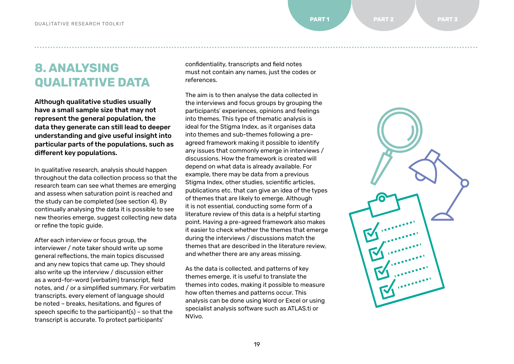# **8. ANALYSING QUALITATIVE DATA**

Although qualitative studies usually have a small sample size that may not represent the general population, the data they generate can still lead to deeper understanding and give useful insight into particular parts of the populations, such as different key populations.

In qualitative research, analysis should happen throughout the data collection process so that the research team can see what themes are emerging and assess when saturation point is reached and the study can be completed (see section 4). By continually analysing the data it is possible to see new theories emerge, suggest collecting new data or refine the topic guide.

After each interview or focus group, the interviewer / note taker should write up some general reflections, the main topics discussed and any new topics that came up. They should also write up the interview / discussion either as a word-for-word (verbatim) transcript, field notes, and / or a simplified summary. For verbatim transcripts, every element of language should be noted – breaks, hesitations, and figures of speech specific to the participant(s) – so that the transcript is accurate. To protect participants'

confidentiality, transcripts and field notes must not contain any names, just the codes or references.

● ● ● ● ● ● ● ● ● ● ● ● ● ● ● ● ● ● ● ● ● ● ● ● ● ● ● ● ● ● ● ● ● ● ● ● ● ● ● ● ● ● ● ● ● ● ● ● ● ● ● ● ● ● ● ● ● ● ● ● ● ● ● ● ● ● ● ● ● ● ● ● ● ● ● ● ● ● ● ● ● ● ● ● ● ● ● ● ● ● ● ● ● ● ● ● ● ● ● ● ● ● ● ● ● ● ● ● ● ● ● ● ● ● ● ● ● ● ● ● ● ● ● ● ● ● ● ● ● ● ● ● ● ● ● ● ● ● ● ● ● ● ● ● ● ● ● ● ● ● ● ● ● ● ● ● ● ● ● ● ● ● ● ● ●

The aim is to then analyse the data collected in the interviews and focus groups by grouping the participants' experiences, opinions and feelings into themes. This type of thematic analysis is ideal for the Stigma Index, as it organises data into themes and sub-themes following a preagreed framework making it possible to identify any issues that commonly emerge in interviews / discussions. How the framework is created will depend on what data is already available. For example, there may be data from a previous Stigma Index, other studies, scientific articles, publications etc. that can give an idea of the types of themes that are likely to emerge. Although it is not essential, conducting some form of a literature review of this data is a helpful starting point. Having a pre-agreed framework also makes it easier to check whether the themes that emerge during the interviews / discussions match the themes that are described in the literature review, and whether there are any areas missing.

As the data is collected, and patterns of key themes emerge, it is useful to translate the themes into codes, making it possible to measure how often themes and patterns occur. This analysis can be done using Word or Excel or using specialist analysis software such as ATLAS.ti or NVivo.

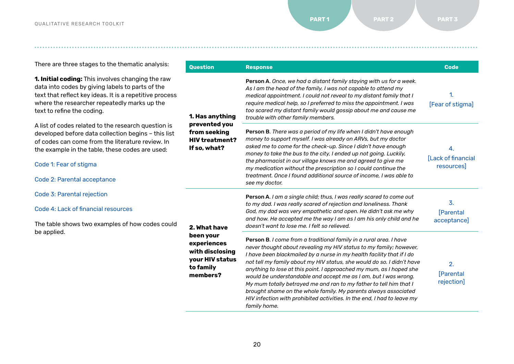There are three stages to the thematic analysis:

**1. Initial coding:** This involves changing the raw data into codes by giving labels to parts of the text that reflect key ideas. It is a repetitive process where the researcher repeatedly marks up the text to refine the coding.

A list of codes related to the research question is developed before data collection begins – this list of codes can come from the literature review. In the example in the table, these codes are used:

Code 1: Fear of stigma

Code 2: Parental acceptance

Code 3: Parental rejection

Code 4: Lack of financial resources

The table shows two examples of how codes could be applied.

| <b>Question</b>                                                                           | <b>Response</b>                                                                                                                                                                                                                                                                                                                                                                                                                                                                                                                                                                                                                                                           | <b>Code</b>                           |
|-------------------------------------------------------------------------------------------|---------------------------------------------------------------------------------------------------------------------------------------------------------------------------------------------------------------------------------------------------------------------------------------------------------------------------------------------------------------------------------------------------------------------------------------------------------------------------------------------------------------------------------------------------------------------------------------------------------------------------------------------------------------------------|---------------------------------------|
| 1. Has anything<br>prevented you<br>from seeking<br><b>HIV treatment?</b><br>If so, what? | Person A. Once, we had a distant family staying with us for a week.<br>As I am the head of the family, I was not capable to attend my<br>medical appointment. I could not reveal to my distant family that I<br>require medical help, so I preferred to miss the appointment. I was<br>too scared my distant family would gossip about me and cause me<br>trouble with other family members.                                                                                                                                                                                                                                                                              | 1.<br>[Fear of stigma]                |
|                                                                                           | Person B. There was a period of my life when I didn't have enough<br>money to support myself. I was already on ARVs, but my doctor<br>asked me to come for the check-up. Since I didn't have enough<br>money to take the bus to the city, I ended up not going. Luckily,<br>the pharmacist in our village knows me and agreed to give me<br>my medication without the prescription so I could continue the<br>treatment. Once I found additional source of income. I was able to<br>see my doctor.                                                                                                                                                                        | 4.<br>[Lack of financial<br>resources |
| 2. What have                                                                              | Person A. I am a single child; thus, I was really scared to come out<br>to my dad. I was really scared of rejection and loneliness. Thank<br>God, my dad was very empathetic and open. He didn't ask me why<br>and how. He accepted me the way I am as I am his only child and he<br>doesn't want to lose me. I felt so relieved.                                                                                                                                                                                                                                                                                                                                         | 3.<br><b>[Parental</b><br>acceptance] |
| been your<br>experiences<br>with disclosing<br>your HIV status<br>to family<br>members?   | Person B. I come from a traditional family in a rural area. I have<br>never thought about revealing my HIV status to my family; however,<br>I have been blackmailed by a nurse in my health facility that if I do<br>not tell my family about my HIV status, she would do so. I didn't have<br>anything to lose at this point. I approached my mum, as I hoped she<br>would be understandable and accept me as I am, but I was wrong.<br>My mum totally betrayed me and ran to my father to tell him that I<br>brought shame on the whole family. My parents always associated<br>HIV infection with prohibited activities. In the end, I had to leave my<br>family home. | 2.<br><b>[Parental</b><br>rejection]  |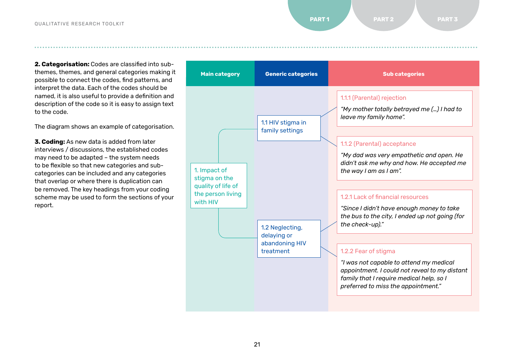**2. Categorisation:** Codes are classified into subthemes, themes, and general categories making it possible to connect the codes, find patterns, and interpret the data. Each of the codes should be named, it is also useful to provide a definition and description of the code so it is easy to assign text to the code.

The diagram shows an example of categorisation.

**3. Coding:** As new data is added from later interviews / discussions, the established codes may need to be adapted – the system needs to be flexible so that new categories and subcategories can be included and any categories that overlap or where there is duplication can be removed. The key headings from your coding scheme may be used to form the sections of your report.

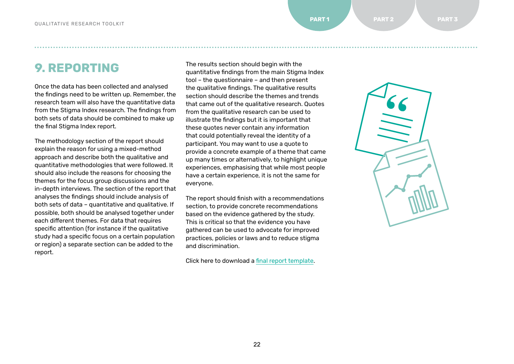# **9. REPORTING**

Once the data has been collected and analysed the findings need to be written up. Remember, the research team will also have the quantitative data from the Stigma Index research. The findings from both sets of data should be combined to make up the final Stigma Index report.

The methodology section of the report should explain the reason for using a mixed-method approach and describe both the qualitative and quantitative methodologies that were followed. It should also include the reasons for choosing the themes for the focus group discussions and the in-depth interviews. The section of the report that analyses the findings should include analysis of both sets of data – quantitative and qualitative. If possible, both should be analysed together under each different themes. For data that requires specific attention (for instance if the qualitative study had a specific focus on a certain population or region) a separate section can be added to the report.

The results section should begin with the quantitative findings from the main Stigma Index tool – the questionnaire – and then present the qualitative findings. The qualitative results section should describe the themes and trends that came out of the qualitative research. Quotes from the qualitative research can be used to illustrate the findings but it is important that these quotes never contain any information that could potentially reveal the identity of a participant. You may want to use a quote to provide a concrete example of a theme that came up many times or alternatively, to highlight unique experiences, emphasising that while most people have a certain experience, it is not the same for everyone.

● ● ● ● ● ● ● ● ● ● ● ● ● ● ● ● ● ● ● ● ● ● ● ● ● ● ● ● ● ● ● ● ● ● ● ● ● ● ● ● ● ● ● ● ● ● ● ● ● ● ● ● ● ● ● ● ● ● ● ● ● ● ● ● ● ● ● ● ● ● ● ● ● ● ● ● ● ● ● ● ● ● ● ● ● ● ● ● ● ● ● ● ● ● ● ● ● ● ● ● ● ● ● ● ● ● ● ● ● ● ● ● ● ● ● ● ● ● ● ● ● ● ● ● ● ● ● ● ● ● ● ● ● ● ● ● ● ● ● ● ● ● ● ● ● ● ● ● ● ● ● ● ● ● ● ● ● ● ● ● ● ● ● ● ●

The report should finish with a recommendations section, to provide concrete recommendations based on the evidence gathered by the study. This is critical so that the evidence you have gathered can be used to advocate for improved practices, policies or laws and to reduce stigma and discrimination.

Click here to download a final report [template.](https://www.dropbox.com/s/fo70djzkxihtxt2/Final%20Report%20Template_EN.docx?dl=0)

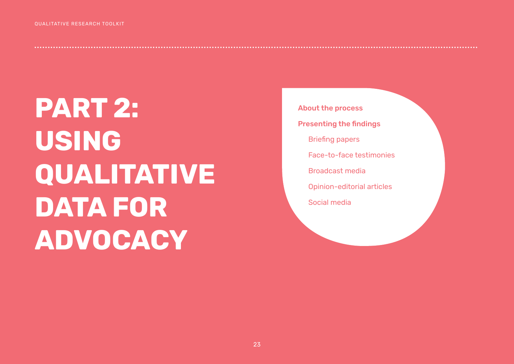<span id="page-22-0"></span>**PART 2: USING QUALITATIVE DATA FOR ADVOCACY**

About the process Presenting the findings Briefing papers Face-to-face testimonies Broadcast media Opinion-editorial articles Social media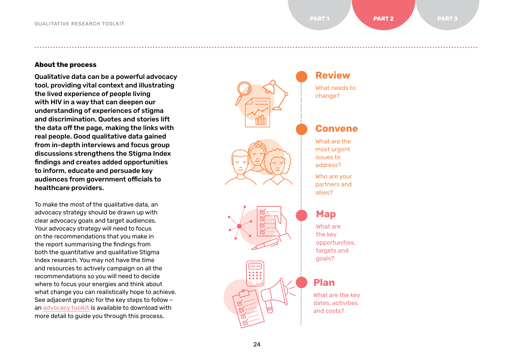**About the process**

Qualitative data can be a powerful advocacy tool, providing vital context and illustrating the lived experience of people living with HIV in a way that can deepen our understanding of experiences of stigma and discrimination. Quotes and stories lift the data off the page, making the links with real people. Good qualitative data gained from in-depth interviews and focus group discussions strengthens the Stigma Index findings and creates added opportunities to inform, educate and persuade key audiences from government officials to healthcare providers.

To make the most of the qualitative data, an advocacy strategy should be drawn up with clear advocacy goals and target audiences. Your advocacy strategy will need to focus on the recommendations that you make in the report summarising the findings from both the quantitative and qualitative Stigma Index research. You may not have the time and resources to actively campaign on all the recommendations so you will need to decide where to focus your energies and think about what change you can realistically hope to achieve. See adjacent graphic for the key steps to follow – an [advocacy](https://www.dropbox.com/s/38zylfphzoubo0j/Advocacy%20Toolkit_web_EN.pdf?dl=0) toolkit is available to download with more detail to guide you through this process.



● ● ● ● ● ● ● ● ● ● ● ● ● ● ● ● ● ● ● ● ● ● ● ● ● ● ● ● ● ● ● ● ● ● ● ● ● ● ● ● ● ● ● ● ● ● ● ● ● ● ● ● ● ● ● ● ● ● ● ● ● ● ● ● ● ● ● ● ● ● ● ● ● ● ● ● ● ● ● ● ● ● ● ● ● ● ● ● ● ● ● ● ● ● ● ● ● ● ● ● ● ● ● ● ● ● ● ● ● ● ● ● ● ● ● ● ● ● ● ● ● ● ● ● ● ● ● ● ● ● ● ● ● ● ● ● ● ● ● ● ● ● ● ● ● ● ● ● ● ● ● ● ● ● ● ● ● ● ● ● ● ● ● ● ●

## **Review**

What needs to change?

#### **Convene**

What are the most urgent issues to address?

Who are your partners and allies?

### **Map**

What are the key opportunities, targets and goals?

#### **Plan**

What are the key dates, activities and costs?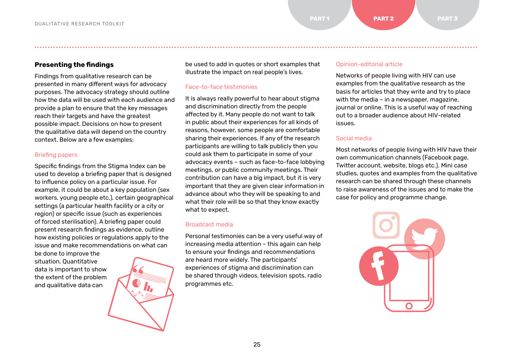**Presenting the findings**

Findings from qualitative research can be presented in many different ways for advocacy purposes. The advocacy strategy should outline how the data will be used with each audience and provide a plan to ensure that the key messages reach their targets and have the greatest possible impact. Decisions on how to present the qualitative data will depend on the country context. Below are a few examples:

#### Briefing papers

Specific findings from the Stigma Index can be used to develop a briefing paper that is designed to influence policy on a particular issue. For example, it could be about a key population (sex workers, young people etc.), certain geographical settings (a particular health facility or a city or region) or specific issue (such as experiences of forced sterilisation). A briefing paper could present research findings as evidence, outline how existing policies or regulations apply to the issue and make recommendations on what can

be done to improve the situation. Quantitative data is important to show the extent of the problem and qualitative data can



be used to add in quotes or short examples that illustrate the impact on real people's lives.

● ● ● ● ● ● ● ● ● ● ● ● ● ● ● ● ● ● ● ● ● ● ● ● ● ● ● ● ● ● ● ● ● ● ● ● ● ● ● ● ● ● ● ● ● ● ● ● ● ● ● ● ● ● ● ● ● ● ● ● ● ● ● ● ● ● ● ● ● ● ● ● ● ● ● ● ● ● ● ● ● ● ● ● ● ● ● ● ● ● ● ● ● ● ● ● ● ● ● ● ● ● ● ● ● ● ● ● ● ● ● ● ● ● ● ● ● ● ● ● ● ● ● ● ● ● ● ● ● ● ● ● ● ● ● ● ● ● ● ● ● ● ● ● ● ● ● ● ● ● ● ● ● ● ● ● ● ● ● ● ● ● ● ● ●

#### Face-to-face testimonies

It is always really powerful to hear about stigma and discrimination directly from the people affected by it. Many people do not want to talk in public about their experiences for all kinds of reasons, however, some people are comfortable sharing their experiences. If any of the research participants are willing to talk publicly then you could ask them to participate in some of your advocacy events – such as face-to-face lobbying meetings, or public community meetings. Their contribution can have a big impact, but it is very important that they are given clear information in advance about who they will be speaking to and what their role will be so that they know exactly what to expect.

#### Broadcast media

Personal testimonies can be a very useful way of increasing media attention – this again can help to ensure your findings and recommendations are heard more widely. The participants' experiences of stigma and discrimination can be shared through videos, television spots, radio programmes etc.

#### Opinion-editorial article

Networks of people living with HIV can use examples from the qualitative research as the basis for articles that they write and try to place with the media – in a newspaper, magazine, journal or online. This is a useful way of reaching out to a broader audience about HIV-related issues.

#### Social media

Most networks of people living with HIV have their own communication channels (Facebook page, Twitter account, website, blogs etc.). Mini case studies, quotes and examples from the qualitative research can be shared through these channels to raise awareness of the issues and to make the case for policy and programme change.

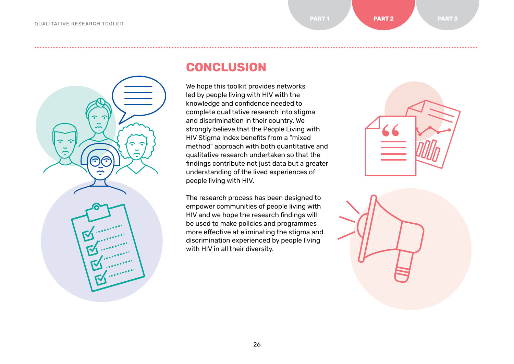# 6 G

## **CONCLUSION**

We hope this toolkit provides networks led by people living with HIV with the knowledge and confidence needed to complete qualitative research into stigma and discrimination in their country. We strongly believe that the People Living with HIV Stigma Index benefits from a "mixed method" approach with both quantitative and qualitative research undertaken so that the findings contribute not just data but a greater understanding of the lived experiences of people living with HIV.

The research process has been designed to empower communities of people living with HIV and we hope the research findings will be used to make policies and programmes more effective at eliminating the stigma and discrimination experienced by people living with HIV in all their diversity.



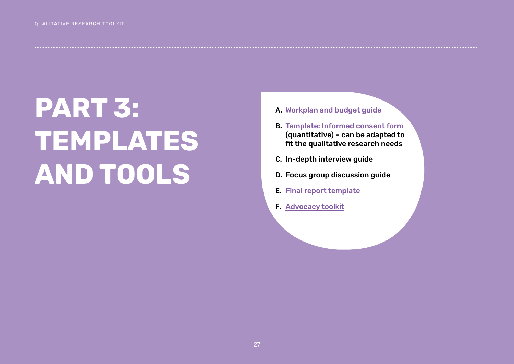# <span id="page-26-0"></span>**PART 3: TEMPLATES AND TOOLS**

- A. [Workplan and budget guide](https://www.dropbox.com/s/tqo3alttdtodo6f/Workplan%20and%20Budget%20Guide_EN.xlsx?dl=0)
- B. Template: I[nformed consent form](https://www.dropbox.com/s/hcxho2ug6gl6oo3/Template%20Informed%20Consent%20Form_EN.docx?dl=0) (quantitative) – can be adapted to fit the qualitative research needs
- C. In-depth interview guide
- D. Focus group discussion guide
- E. [Final report template](https://www.dropbox.com/s/fo70djzkxihtxt2/Final%20Report%20Template_EN.docx?dl=0)
- F. [Advocacy toolkit](https://www.dropbox.com/s/38zylfphzoubo0j/Advocacy%20Toolkit_web_EN.pdf?dl=0)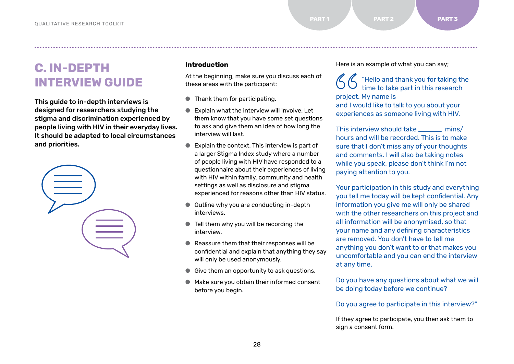**C. IN-DEPTH INTERVIEW GUIDE**

This guide to in-depth interviews is designed for researchers studying the stigma and discrimination experienced by people living with HIV in their everyday lives. It should be adapted to local circumstances and priorities.



#### **Introduction**

At the beginning, make sure you discuss each of these areas with the participant:

<span id="page-27-0"></span>● ● ● ● ● ● ● ● ● ● ● ● ● ● ● ● ● ● ● ● ● ● ● ● ● ● ● ● ● ● ● ● ● ● ● ● ● ● ● ● ● ● ● ● ● ● ● ● ● ● ● ● ● ● ● ● ● ● ● ● ● ● ● ● ● ● ● ● ● ● ● ● ● ● ● ● ● ● ● ● ● ● ● ● ● ● ● ● ● ● ● ● ● ● ● ● ● ● ● ● ● ● ● ● ● ● ● ● ● ● ● ● ● ● ● ● ● ● ● ● ● ● ● ● ● ● ● ● ● ● ● ● ● ● ● ● ● ● ● ● ● ● ● ● ● ● ● ● ● ● ● ● ● ● ● ● ● ● ● ● ● ● ● ● ●

● Thank them for participating.

- Explain what the interview will involve. Let them know that you have some set questions to ask and give them an idea of how long the interview will last.
- Explain the context. This interview is part of a larger Stigma Index study where a number of people living with HIV have responded to a questionnaire about their experiences of living with HIV within family, community and health settings as well as disclosure and stigma experienced for reasons other than HIV status.
- Outline why you are conducting in-depth interviews.
- Tell them why you will be recording the interview.
- Reassure them that their responses will be confidential and explain that anything they say will only be used anonymously.
- Give them an opportunity to ask questions.
- Make sure you obtain their informed consent before you begin.

Here is an example of what you can say;

"Hello and thank you for taking the time to take part in this research project. My name is \_\_\_\_\_\_\_\_\_\_\_\_\_\_\_ and I would like to talk to you about your experiences as someone living with HIV.

This interview should take mins/ hours and will be recorded. This is to make sure that I don't miss any of your thoughts and comments. I will also be taking notes while you speak, please don't think I'm not paying attention to you.

Your participation in this study and everything you tell me today will be kept confidential. Any information you give me will only be shared with the other researchers on this project and all information will be anonymised, so that your name and any defining characteristics are removed. You don't have to tell me anything you don't want to or that makes you uncomfortable and you can end the interview at any time.

Do you have any questions about what we will be doing today before we continue?

Do you agree to participate in this interview?"

If they agree to participate, you then ask them to sign a consent form.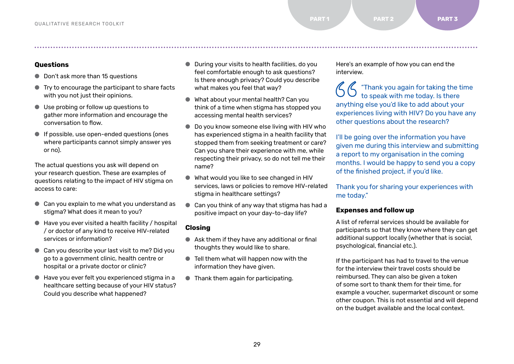#### **Questions**

- Don't ask more than 15 questions
- Try to encourage the participant to share facts with you not just their opinions.
- Use probing or follow up questions to gather more information and encourage the conversation to flow.
- If possible, use open-ended questions (ones where participants cannot simply answer yes or no).

The actual questions you ask will depend on your research question. These are examples of questions relating to the impact of HIV stigma on access to care:

- Can you explain to me what you understand as stigma? What does it mean to you?
- $\bullet$  Have you ever visited a health facility / hospital / or doctor of any kind to receive HIV-related services or information?
- Can you describe your last visit to me? Did you go to a government clinic, health centre or hospital or a private doctor or clinic?
- Have you ever felt you experienced stigma in a healthcare setting because of your HIV status? Could you describe what happened?
- During your visits to health facilities, do you feel comfortable enough to ask questions? Is there enough privacy? Could you describe what makes you feel that way?
- What about your mental health? Can you think of a time when stigma has stopped you accessing mental health services?
- Do you know someone else living with HIV who has experienced stigma in a health facility that stopped them from seeking treatment or care? Can you share their experience with me, while respecting their privacy, so do not tell me their name?
- What would you like to see changed in HIV services, laws or policies to remove HIV-related stigma in healthcare settings?
- Can you think of any way that stigma has had a positive impact on your day-to-day life?

#### **Closing**

- Ask them if they have any additional or final thoughts they would like to share.
- Tell them what will happen now with the information they have given.
- Thank them again for participating.

Here's an example of how you can end the interview.

"Thank you again for taking the time to speak with me today. Is there anything else you'd like to add about your experiences living with HIV? Do you have any other questions about the research?

I'll be going over the information you have given me during this interview and submitting a report to my organisation in the coming months. I would be happy to send you a copy of the finished project, if you'd like.

Thank you for sharing your experiences with me today."

#### **Expenses and follow up**

A list of referral services should be available for participants so that they know where they can get additional support locally (whether that is social, psychological, financial etc.).

If the participant has had to travel to the venue for the interview their travel costs should be reimbursed. They can also be given a token of some sort to thank them for their time, for example a voucher, supermarket discount or some other coupon. This is not essential and will depend on the budget available and the local context.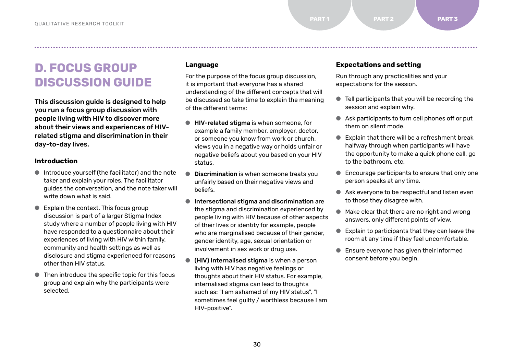# <span id="page-29-0"></span>**D. FOCUS GROUP DISCUSSION GUIDE**

This discussion guide is designed to help you run a focus group discussion with people living with HIV to discover more about their views and experiences of HIVrelated stigma and discrimination in their day-to-day lives.

#### **Introduction**

- Introduce yourself (the facilitator) and the note taker and explain your roles. The facilitator guides the conversation, and the note taker will write down what is said.
- Explain the context. This focus group discussion is part of a larger Stigma Index study where a number of people living with HIV have responded to a questionnaire about their experiences of living with HIV within family, community and health settings as well as disclosure and stigma experienced for reasons other than HIV status.
- Then introduce the specific topic for this focus group and explain why the participants were selected.

#### **Language**

For the purpose of the focus group discussion, it is important that everyone has a shared understanding of the different concepts that will be discussed so take time to explain the meaning of the different terms:

- HIV-related stigma is when someone, for example a family member, employer, doctor, or someone you know from work or church, views you in a negative way or holds unfair or negative beliefs about you based on your HIV status.
- **Discrimination** is when someone treats you unfairly based on their negative views and beliefs.
- Intersectional stigma and discrimination are the stigma and discrimination experienced by people living with HIV because of other aspects of their lives or identity for example, people who are marginalised because of their gender, gender identity, age, sexual orientation or involvement in sex work or drug use.
- (HIV) Internalised stigma is when a person living with HIV has negative feelings or thoughts about their HIV status. For example, internalised stigma can lead to thoughts such as: "I am ashamed of my HIV status", "I sometimes feel guilty / worthless because I am HIV-positive".

#### **Expectations and setting**

Run through any practicalities and your expectations for the session.

- Tell participants that you will be recording the session and explain why.
- Ask participants to turn cell phones off or put them on silent mode.
- Explain that there will be a refreshment break halfway through when participants will have the opportunity to make a quick phone call, go to the bathroom, etc.
- Encourage participants to ensure that only one person speaks at any time.
- Ask everyone to be respectful and listen even to those they disagree with.
- Make clear that there are no right and wrong answers, only different points of view.
- Explain to participants that they can leave the room at any time if they feel uncomfortable.
- Ensure everyone has given their informed consent before you begin.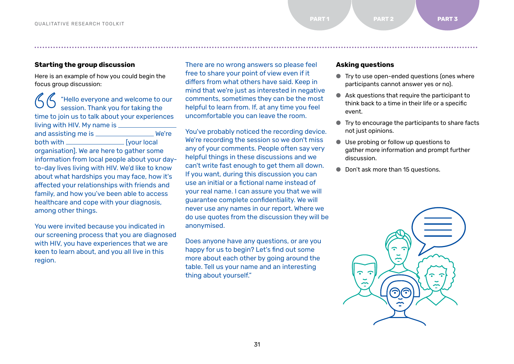#### **Starting the group discussion**

Here is an example of how you could begin the focus group discussion:

"Hello everyone and welcome to our session. Thank you for taking the time to join us to talk about your experiences living with HIV. My name is and assisting me is \_\_\_\_\_\_\_\_\_\_\_\_\_\_\_\_\_\_\_\_ We're both with **Example 1** [your local] organisation]. We are here to gather some information from local people about your dayto-day lives living with HIV. We'd like to know about what hardships you may face, how it's affected your relationships with friends and family, and how you've been able to access healthcare and cope with your diagnosis, among other things.

You were invited because you indicated in our screening process that you are diagnosed with HIV, you have experiences that we are keen to learn about, and you all live in this region.

There are no wrong answers so please feel free to share your point of view even if it differs from what others have said. Keep in mind that we're just as interested in negative comments, sometimes they can be the most helpful to learn from. If, at any time you feel uncomfortable you can leave the room.

● ● ● ● ● ● ● ● ● ● ● ● ● ● ● ● ● ● ● ● ● ● ● ● ● ● ● ● ● ● ● ● ● ● ● ● ● ● ● ● ● ● ● ● ● ● ● ● ● ● ● ● ● ● ● ● ● ● ● ● ● ● ● ● ● ● ● ● ● ● ● ● ● ● ● ● ● ● ● ● ● ● ● ● ● ● ● ● ● ● ● ● ● ● ● ● ● ● ● ● ● ● ● ● ● ● ● ● ● ● ● ● ● ● ● ● ● ● ● ● ● ● ● ● ● ● ● ● ● ● ● ● ● ● ● ● ● ● ● ● ● ● ● ● ● ● ● ● ● ● ● ● ● ● ● ● ● ● ● ● ● ● ● ● ●

You've probably noticed the recording device. We're recording the session so we don't miss any of your comments. People often say very helpful things in these discussions and we can't write fast enough to get them all down. If you want, during this discussion you can use an initial or a fictional name instead of your real name. I can assure you that we will guarantee complete confidentiality. We will never use any names in our report. Where we do use quotes from the discussion they will be anonymised.

Does anyone have any questions, or are you happy for us to begin? Let's find out some more about each other by going around the table. Tell us your name and an interesting thing about yourself."

#### **Asking questions**

- Try to use open-ended questions (ones where participants cannot answer yes or no).
- Ask questions that require the participant to think back to a time in their life or a specific event.
- Try to encourage the participants to share facts not just opinions.
- Use probing or follow up questions to gather more information and prompt further discussion.
- Don't ask more than 15 questions.

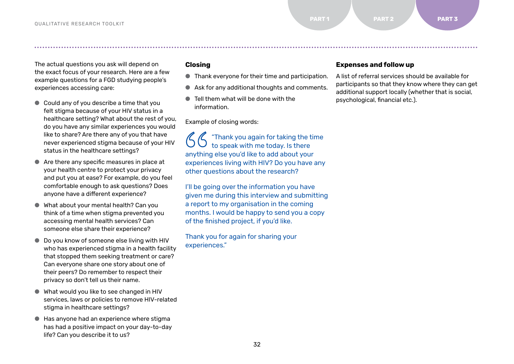The actual questions you ask will depend on the exact focus of your research. Here are a few example questions for a FGD studying people's experiences accessing care:

- Could any of you describe a time that you felt stigma because of your HIV status in a healthcare setting? What about the rest of you, do you have any similar experiences you would like to share? Are there any of you that have never experienced stigma because of your HIV status in the healthcare settings?
- Are there any specific measures in place at your health centre to protect your privacy and put you at ease? For example, do you feel comfortable enough to ask questions? Does anyone have a different experience?
- What about your mental health? Can you think of a time when stigma prevented you accessing mental health services? Can someone else share their experience?
- Do you know of someone else living with HIV who has experienced stigma in a health facility that stopped them seeking treatment or care? Can everyone share one story about one of their peers? Do remember to respect their privacy so don't tell us their name.
- What would you like to see changed in HIV services, laws or policies to remove HIV-related stigma in healthcare settings?
- Has anyone had an experience where stigma has had a positive impact on your day-to-day life? Can you describe it to us?

#### **Closing**

- Thank everyone for their time and participation.
- Ask for any additional thoughts and comments.
- Tell them what will be done with the information.

Example of closing words:

"Thank you again for taking the time to speak with me today. Is there anything else you'd like to add about your experiences living with HIV? Do you have any other questions about the research?

I'll be going over the information you have given me during this interview and submitting a report to my organisation in the coming months. I would be happy to send you a copy of the finished project, if you'd like.

Thank you for again for sharing your experiences."

#### **Expenses and follow up**

A list of referral services should be available for participants so that they know where they can get additional support locally (whether that is social, psychological, financial etc.).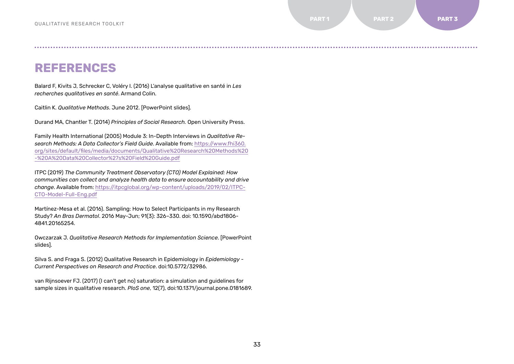**REFERENCES**

Balard F, Kivits J, Schrecker C, Voléry I. (2016) L'analyse qualitative en santé in *Les recherches qualitatives en santé*. Armand Colin.

Caitlin K. *Qualitative Methods*. June 2012. [PowerPoint slides].

Durand MA, Chantler T. (2014) *Principles of Social Research.* Open University Press.

Family Health International (2005) Module 3: In-Depth Interviews in *Qualitative Research Methods: A Data Collector's Field Guide*. Available from: [https://www.fhi360.](https://www.fhi360.org/sites/default/files/media/documents/Qualitative%20Research%20Methods%20-%20A%20Data%20Collector%27s%20Field%20Guide.pdf) [org/sites/default/files/media/documents/Qualitative%20Research%20Methods%20](https://www.fhi360.org/sites/default/files/media/documents/Qualitative%20Research%20Methods%20-%20A%20Data%20Collector%27s%20Field%20Guide.pdf) [-%20A%20Data%20Collector%27s%20Field%20Guide.pdf](https://www.fhi360.org/sites/default/files/media/documents/Qualitative%20Research%20Methods%20-%20A%20Data%20Collector%27s%20Field%20Guide.pdf)

ITPC (2019) *The Community Treatment Observatory (CTO) Model Explained: How communities can collect and analyze health data to ensure accountability and drive change*. Available from: [https://itpcglobal.org/wp-content/uploads/2019/02/ITPC-](https://itpcglobal.org/wp-content/uploads/2019/02/ITPC-CTO-Model-Full-Eng.pdf)[CTO-Model-Full-Eng.pdf](https://itpcglobal.org/wp-content/uploads/2019/02/ITPC-CTO-Model-Full-Eng.pdf)

Martínez-Mesa et al. (2016). Sampling: How to Select Participants in my Research Study? *An Bras Dermatol*. 2016 May-Jun; 91(3): 326–330. doi: 10.1590/abd1806- 4841.20165254

Owczarzak J. *Qualitative Research Methods for Implementation Science*. [PowerPoint slides].

Silva S. and Fraga S. (2012) Qualitative Research in Epidemiology in *Epidemiology - Current Perspectives on Research and Practice*. doi:10.5772/32986.

van Rijnsoever FJ. (2017) (I can't get no) saturation: a simulation and guidelines for sample sizes in qualitative research. *PloS one*, 12(7), doi:10.1371/journal.pone.0181689.